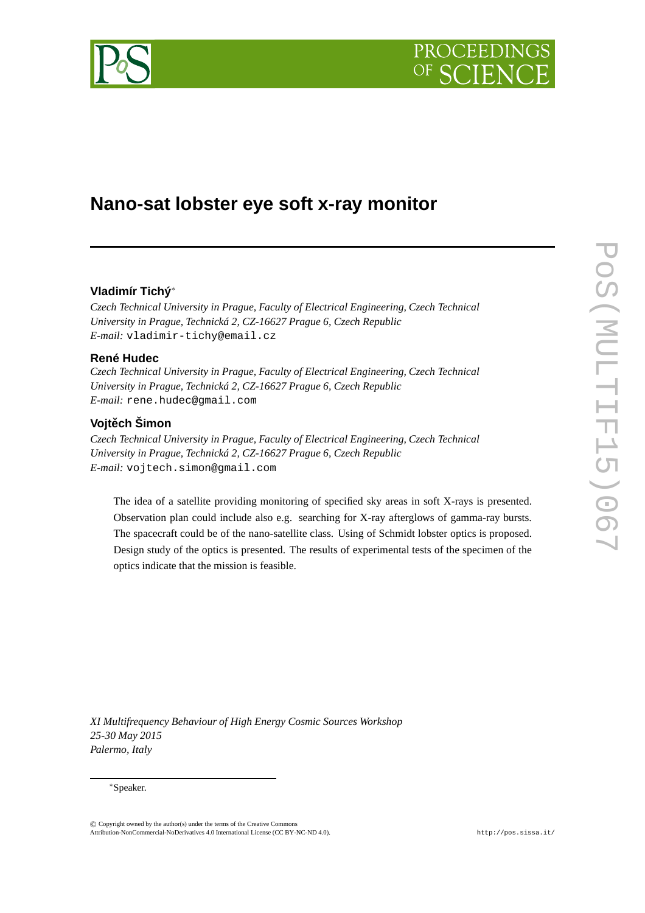



# **Nano-sat lobster eye soft x-ray monitor**

# **Vladimír Tichý**<sup>∗</sup>

*Czech Technical University in Prague, Faculty of Electrical Engineering, Czech Technical University in Prague, Technická 2, CZ-16627 Prague 6, Czech Republic E-mail:* vladimir-tichy@email.cz

## **René Hudec**

*Czech Technical University in Prague, Faculty of Electrical Engineering, Czech Technical University in Prague, Technická 2, CZ-16627 Prague 6, Czech Republic E-mail:* rene.hudec@gmail.com

# **Vojtech Šimon ˇ**

*Czech Technical University in Prague, Faculty of Electrical Engineering, Czech Technical University in Prague, Technická 2, CZ-16627 Prague 6, Czech Republic E-mail:* vojtech.simon@gmail.com

The idea of a satellite providing monitoring of specified sky areas in soft X-rays is presented. Observation plan could include also e.g. searching for X-ray afterglows of gamma-ray bursts. The spacecraft could be of the nano-satellite class. Using of Schmidt lobster optics is proposed. Design study of the optics is presented. The results of experimental tests of the specimen of the optics indicate that the mission is feasible.

*XI Multifrequency Behaviour of High Energy Cosmic Sources Workshop 25-30 May 2015 Palermo, Italy*

#### <sup>∗</sup>Speaker.

© c Copyright owned by the author(s) under the terms of the Creative Commons Copyright owned by the author(s) under the terms of the Creative Commons Attribution-NonCommercial-ShareAlike Licence. http://pos.sissa.it/ Attribution-NonCommercial-NoDerivatives 4.0 International License (CC BY-NC-ND 4.0).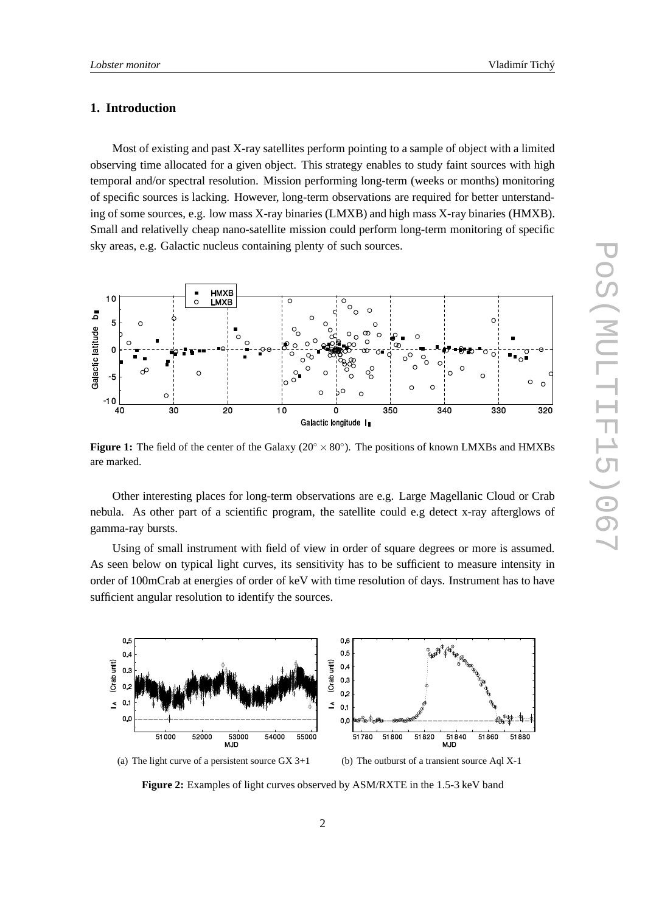## **1. Introduction**

Most of existing and past X-ray satellites perform pointing to a sample of object with a limited observing time allocated for a given object. This strategy enables to study faint sources with high temporal and/or spectral resolution. Mission performing long-term (weeks or months) monitoring of specific sources is lacking. However, long-term observations are required for better unterstanding of some sources, e.g. low mass X-ray binaries (LMXB) and high mass X-ray binaries (HMXB). Small and relativelly cheap nano-satellite mission could perform long-term monitoring of specific sky areas, e.g. Galactic nucleus containing plenty of such sources.



**Figure 1:** The field of the center of the Galaxy ( $20° \times 80°$ ). The positions of known LMXBs and HMXBs are marked.

Other interesting places for long-term observations are e.g. Large Magellanic Cloud or Crab nebula. As other part of a scientific program, the satellite could e.g detect x-ray afterglows of gamma-ray bursts.

Using of small instrument with field of view in order of square degrees or more is assumed. As seen below on typical light curves, its sensitivity has to be sufficient to measure intensity in order of 100mCrab at energies of order of keV with time resolution of days. Instrument has to have sufficient angular resolution to identify the sources.



**Figure 2:** Examples of light curves observed by ASM/RXTE in the 1.5-3 keV band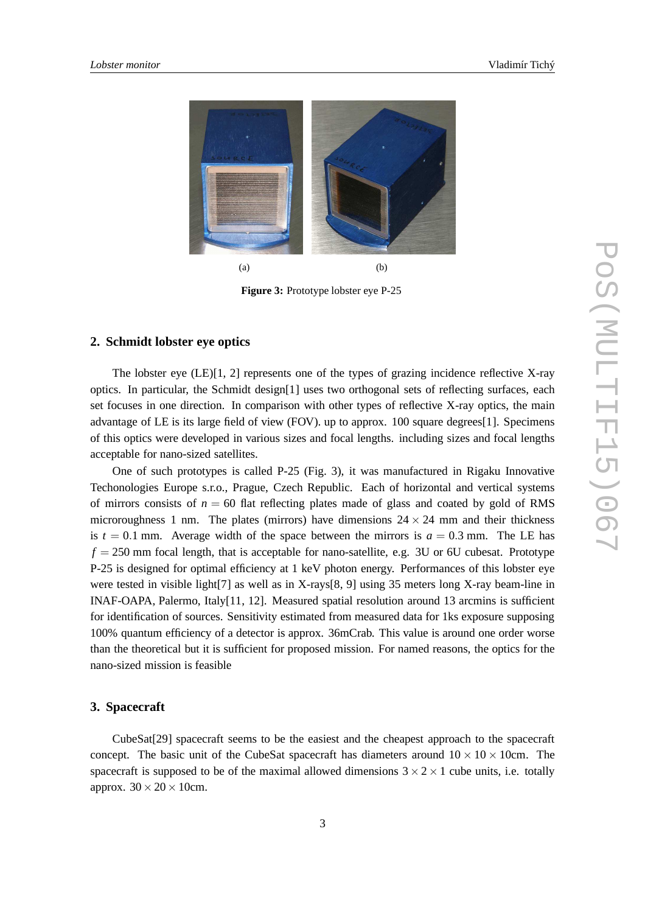

**Figure 3:** Prototype lobster eye P-25

## **2. Schmidt lobster eye optics**

The lobster eye (LE)[1, 2] represents one of the types of grazing incidence reflective X-ray optics. In particular, the Schmidt design[1] uses two orthogonal sets of reflecting surfaces, each set focuses in one direction. In comparison with other types of reflective X-ray optics, the main advantage of LE is its large field of view (FOV). up to approx. 100 square degrees[1]. Specimens of this optics were developed in various sizes and focal lengths. including sizes and focal lengths acceptable for nano-sized satellites.

One of such prototypes is called P-25 (Fig. 3), it was manufactured in Rigaku Innovative Techonologies Europe s.r.o., Prague, Czech Republic. Each of horizontal and vertical systems of mirrors consists of  $n = 60$  flat reflecting plates made of glass and coated by gold of RMS microroughness 1 nm. The plates (mirrors) have dimensions  $24 \times 24$  mm and their thickness is  $t = 0.1$  mm. Average width of the space between the mirrors is  $a = 0.3$  mm. The LE has  $f = 250$  mm focal length, that is acceptable for nano-satellite, e.g. 3U or 6U cubesat. Prototype P-25 is designed for optimal efficiency at 1 keV photon energy. Performances of this lobster eye were tested in visible light[7] as well as in X-rays[8, 9] using 35 meters long X-ray beam-line in INAF-OAPA, Palermo, Italy[11, 12]. Measured spatial resolution around 13 arcmins is sufficient for identification of sources. Sensitivity estimated from measured data for 1ks exposure supposing 100% quantum efficiency of a detector is approx. 36mCrab. This value is around one order worse than the theoretical but it is sufficient for proposed mission. For named reasons, the optics for the nano-sized mission is feasible

### **3. Spacecraft**

CubeSat[29] spacecraft seems to be the easiest and the cheapest approach to the spacecraft concept. The basic unit of the CubeSat spacecraft has diameters around  $10 \times 10 \times 10$ cm. The spacecraft is supposed to be of the maximal allowed dimensions  $3 \times 2 \times 1$  cube units, i.e. totally approx.  $30 \times 20 \times 10$ cm.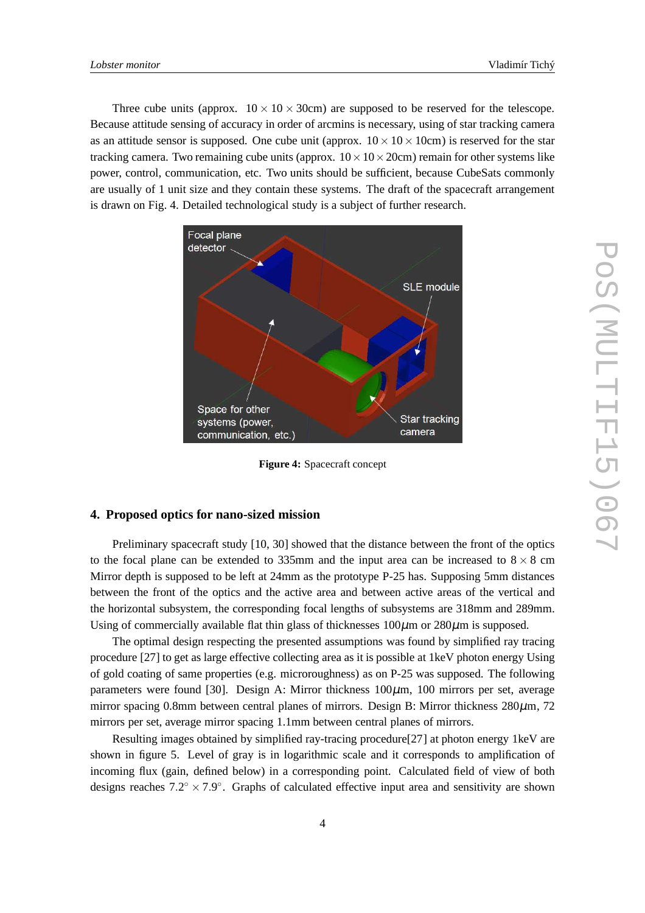Three cube units (approx.  $10 \times 10 \times 30$ cm) are supposed to be reserved for the telescope. Because attitude sensing of accuracy in order of arcmins is necessary, using of star tracking camera as an attitude sensor is supposed. One cube unit (approx.  $10 \times 10 \times 10$ cm) is reserved for the star tracking camera. Two remaining cube units (approx.  $10 \times 10 \times 20$ cm) remain for other systems like power, control, communication, etc. Two units should be sufficient, because CubeSats commonly are usually of 1 unit size and they contain these systems. The draft of the spacecraft arrangement is drawn on Fig. 4. Detailed technological study is a subject of further research.



**Figure 4:** Spacecraft concept

#### **4. Proposed optics for nano-sized mission**

Preliminary spacecraft study [10, 30] showed that the distance between the front of the optics to the focal plane can be extended to 335mm and the input area can be increased to  $8 \times 8$  cm Mirror depth is supposed to be left at 24mm as the prototype P-25 has. Supposing 5mm distances between the front of the optics and the active area and between active areas of the vertical and the horizontal subsystem, the corresponding focal lengths of subsystems are 318mm and 289mm. Using of commercially available flat thin glass of thicknesses  $100\mu$ m or  $280\mu$ m is supposed.

The optimal design respecting the presented assumptions was found by simplified ray tracing procedure [27] to get as large effective collecting area as it is possible at 1keV photon energy Using of gold coating of same properties (e.g. microroughness) as on P-25 was supposed. The following parameters were found [30]. Design A: Mirror thickness 100µm, 100 mirrors per set, average mirror spacing 0.8mm between central planes of mirrors. Design B: Mirror thickness  $280\mu$ m, 72 mirrors per set, average mirror spacing 1.1mm between central planes of mirrors.

Resulting images obtained by simplified ray-tracing procedure[27] at photon energy 1keV are shown in figure 5. Level of gray is in logarithmic scale and it corresponds to amplification of incoming flux (gain, defined below) in a corresponding point. Calculated field of view of both designs reaches  $7.2^{\circ} \times 7.9^{\circ}$ . Graphs of calculated effective input area and sensitivity are shown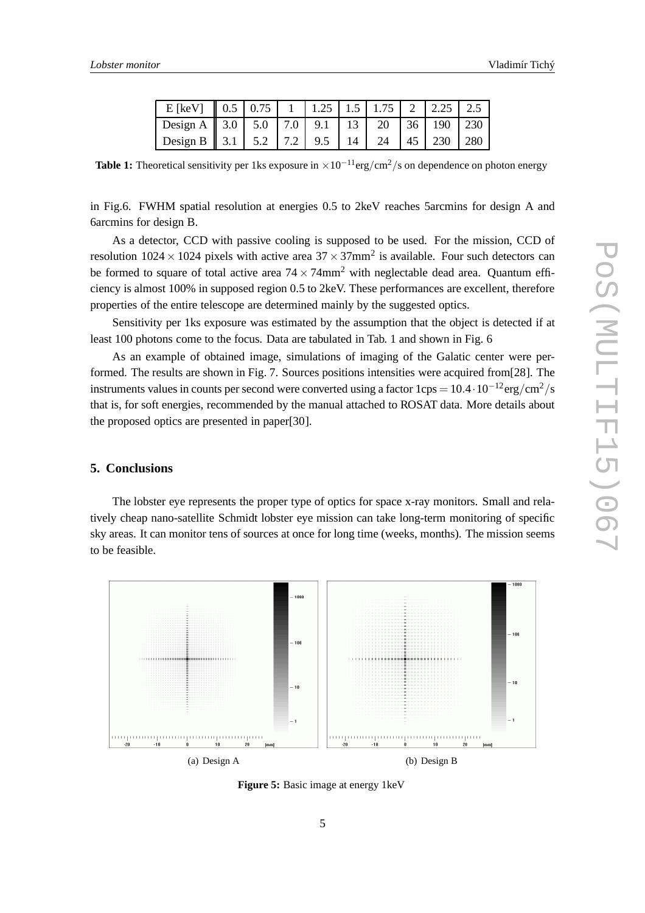| E [keV] $\parallel$ 0.5   0.75   1   1.25   1.5   1.75   2   2.25   2.5 |  |  |  |  |  |
|-------------------------------------------------------------------------|--|--|--|--|--|
| Design A    3.0   5.0   7.0   9.1   13   20   36   190   230            |  |  |  |  |  |
| Design B   3.1   5.2   7.2   9.5   14   24   45   230   280             |  |  |  |  |  |

**Table 1:** Theoretical sensitivity per 1ks exposure in  $\times 10^{-11}$ erg/cm<sup>2</sup>/s on dependence on photon energy

in Fig.6. FWHM spatial resolution at energies 0.5 to 2keV reaches 5arcmins for design A and 6arcmins for design B.

As a detector, CCD with passive cooling is supposed to be used. For the mission, CCD of resolution 1024  $\times$  1024 pixels with active area 37  $\times$  37mm<sup>2</sup> is available. Four such detectors can be formed to square of total active area  $74 \times 74$ mm<sup>2</sup> with neglectable dead area. Quantum efficiency is almost 100% in supposed region 0.5 to 2keV. These performances are excellent, therefore properties of the entire telescope are determined mainly by the suggested optics.

Sensitivity per 1ks exposure was estimated by the assumption that the object is detected if at least 100 photons come to the focus. Data are tabulated in Tab. 1 and shown in Fig. 6

As an example of obtained image, simulations of imaging of the Galatic center were performed. The results are shown in Fig. 7. Sources positions intensities were acquired from[28]. The instruments values in counts per second were converted using a factor  $1 \text{cps} = 10.4 \cdot 10^{-12} \text{erg/cm}^2/\text{s}$ that is, for soft energies, recommended by the manual attached to ROSAT data. More details about the proposed optics are presented in paper[30].

### **5. Conclusions**

The lobster eye represents the proper type of optics for space x-ray monitors. Small and relatively cheap nano-satellite Schmidt lobster eye mission can take long-term monitoring of specific sky areas. It can monitor tens of sources at once for long time (weeks, months). The mission seems to be feasible.



**Figure 5:** Basic image at energy 1keV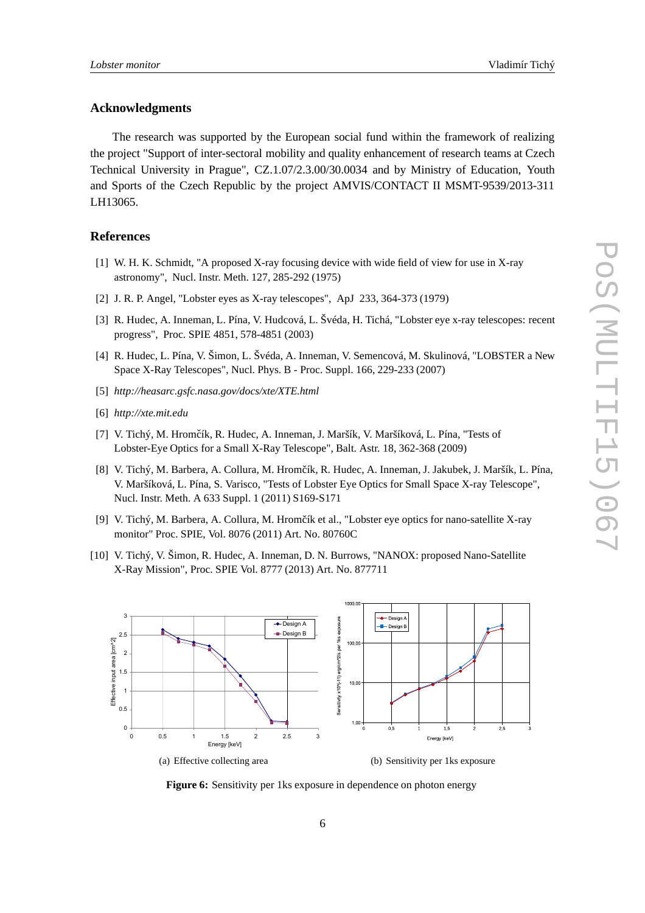#### **Acknowledgments**

The research was supported by the European social fund within the framework of realizing the project "Support of inter-sectoral mobility and quality enhancement of research teams at Czech Technical University in Prague", CZ.1.07/2.3.00/30.0034 and by Ministry of Education, Youth and Sports of the Czech Republic by the project AMVIS/CONTACT II MSMT-9539/2013-311 LH13065.

#### **References**

- [1] W. H. K. Schmidt, "A proposed X-ray focusing device with wide field of view for use in X-ray astronomy", Nucl. Instr. Meth. 127, 285-292 (1975)
- [2] J. R. P. Angel, "Lobster eyes as X-ray telescopes", ApJ 233, 364-373 (1979)
- [3] R. Hudec, A. Inneman, L. Pína, V. Hudcová, L. Švéda, H. Tichá, "Lobster eye x-ray telescopes: recent progress", Proc. SPIE 4851, 578-4851 (2003)
- [4] R. Hudec, L. Pína, V. Šimon, L. Švéda, A. Inneman, V. Semencová, M. Skulinová, "LOBSTER a New Space X-Ray Telescopes", Nucl. Phys. B - Proc. Suppl. 166, 229-233 (2007)
- [5] *http://heasarc.gsfc.nasa.gov/docs/xte/XTE.html*
- [6] *http://xte.mit.edu*
- [7] V. Tichý, M. Hromčík, R. Hudec, A. Inneman, J. Maršík, V. Maršíková, L. Pína, "Tests of Lobster-Eye Optics for a Small X-Ray Telescope", Balt. Astr. 18, 362-368 (2009)
- [8] V. Tichý, M. Barbera, A. Collura, M. Hromčík, R. Hudec, A. Inneman, J. Jakubek, J. Maršík, L. Pína, V. Maršíková, L. Pína, S. Varisco, "Tests of Lobster Eye Optics for Small Space X-ray Telescope", Nucl. Instr. Meth. A 633 Suppl. 1 (2011) S169-S171
- [9] V. Tichý, M. Barbera, A. Collura, M. Hromčík et al., "Lobster eye optics for nano-satellite X-ray monitor" Proc. SPIE, Vol. 8076 (2011) Art. No. 80760C
- [10] V. Tichý, V. Šimon, R. Hudec, A. Inneman, D. N. Burrows, "NANOX: proposed Nano-Satellite X-Ray Mission", Proc. SPIE Vol. 8777 (2013) Art. No. 877711



**Figure 6:** Sensitivity per 1ks exposure in dependence on photon energy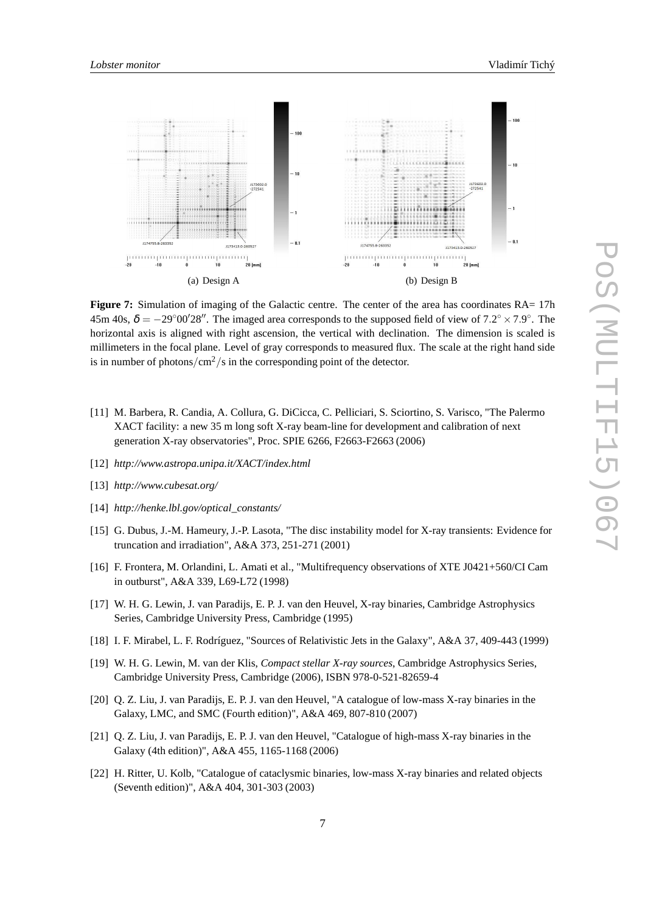

**Figure 7:** Simulation of imaging of the Galactic centre. The center of the area has coordinates RA= 17h 45m 40s,  $\delta = -29^{\circ}00'28''$ . The imaged area corresponds to the supposed field of view of 7.2° × 7.9°. The horizontal axis is aligned with right ascension, the vertical with declination. The dimension is scaled is millimeters in the focal plane. Level of gray corresponds to measured flux. The scale at the right hand side is in number of photons/ $\text{cm}^2/\text{s}$  in the corresponding point of the detector.

- [11] M. Barbera, R. Candia, A. Collura, G. DiCicca, C. Pelliciari, S. Sciortino, S. Varisco, "The Palermo XACT facility: a new 35 m long soft X-ray beam-line for development and calibration of next generation X-ray observatories", Proc. SPIE 6266, F2663-F2663 (2006)
- [12] *http://www.astropa.unipa.it/XACT/index.html*
- [13] *http://www.cubesat.org/*
- [14] *http://henke.lbl.gov/optical\_constants/*
- [15] G. Dubus, J.-M. Hameury, J.-P. Lasota, "The disc instability model for X-ray transients: Evidence for truncation and irradiation", A&A 373, 251-271 (2001)
- [16] F. Frontera, M. Orlandini, L. Amati et al., "Multifrequency observations of XTE J0421+560/CI Cam in outburst", A&A 339, L69-L72 (1998)
- [17] W. H. G. Lewin, J. van Paradijs, E. P. J. van den Heuvel, X-ray binaries, Cambridge Astrophysics Series, Cambridge University Press, Cambridge (1995)
- [18] I. F. Mirabel, L. F. Rodríguez, "Sources of Relativistic Jets in the Galaxy", A&A 37, 409-443 (1999)
- [19] W. H. G. Lewin, M. van der Klis, *Compact stellar X-ray sources*, Cambridge Astrophysics Series, Cambridge University Press, Cambridge (2006), ISBN 978-0-521-82659-4
- [20] Q. Z. Liu, J. van Paradijs, E. P. J. van den Heuvel, "A catalogue of low-mass X-ray binaries in the Galaxy, LMC, and SMC (Fourth edition)", A&A 469, 807-810 (2007)
- [21] Q. Z. Liu, J. van Paradijs, E. P. J. van den Heuvel, "Catalogue of high-mass X-ray binaries in the Galaxy (4th edition)", A&A 455, 1165-1168 (2006)
- [22] H. Ritter, U. Kolb, "Catalogue of cataclysmic binaries, low-mass X-ray binaries and related objects (Seventh edition)", A&A 404, 301-303 (2003)